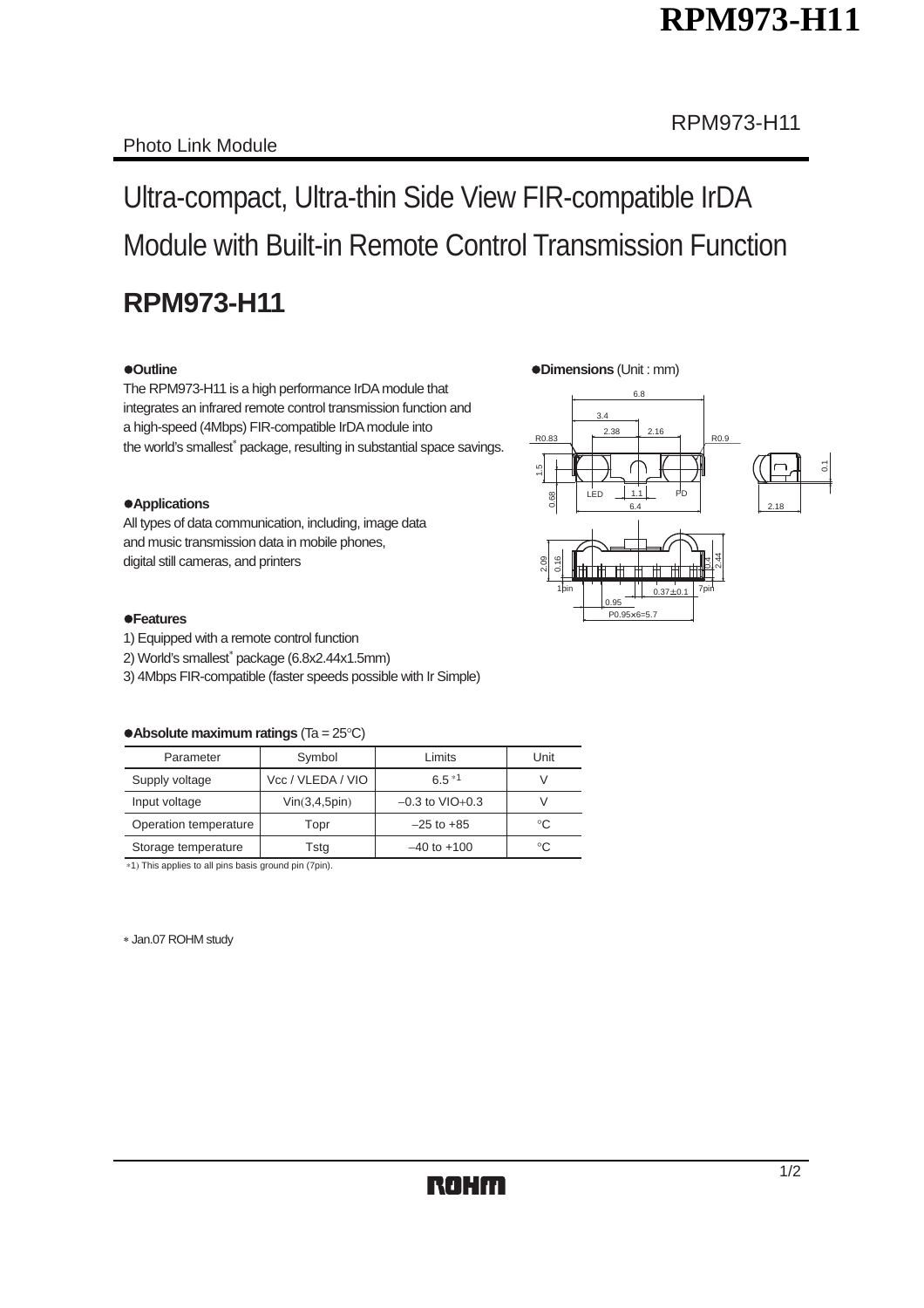# **RPM973-H11**

# Ultra-compact, Ultra-thin Side View FIR-compatible IrDA Module with Built-in Remote Control Transmission Function

## **RPM973-H11**

#### z**Outline** z**Dimensions** (Unit : mm)

The RPM973-H11 is a high performance IrDA module that integrates an infrared remote control transmission function and a high-speed (4Mbps) FIR-compatible IrDA module into the world's smallest<sup>\*</sup> package, resulting in substantial space savings.

#### $\bullet$  Applications

All types of data communication, including, image data and music transmission data in mobile phones, digital still cameras, and printers





#### z**Features**

- 1) Equipped with a remote control function
- 2) World's smallest<sup>\*</sup> package (6.8x2.44x1.5mm)
- 3) 4Mbps FIR-compatible (faster speeds possible with Ir Simple)

#### • **Absolute maximum ratings** (Ta = 25°C)

| Parameter             | Symbol                               | Limits          | Unit |
|-----------------------|--------------------------------------|-----------------|------|
| Supply voltage        | Vcc / VLEDA / VIO                    | $6.5*1$         |      |
| Input voltage         | $-0.3$ to $VIO+0.3$<br>Vin(3,4,5pin) |                 |      |
| Operation temperature | Topr                                 | $-25$ to $+85$  | °C   |
| Storage temperature   | Tsta                                 | $-40$ to $+100$ | °C   |

∗1) This applies to all pins basis ground pin (7pin).

Jan.07 ROHM study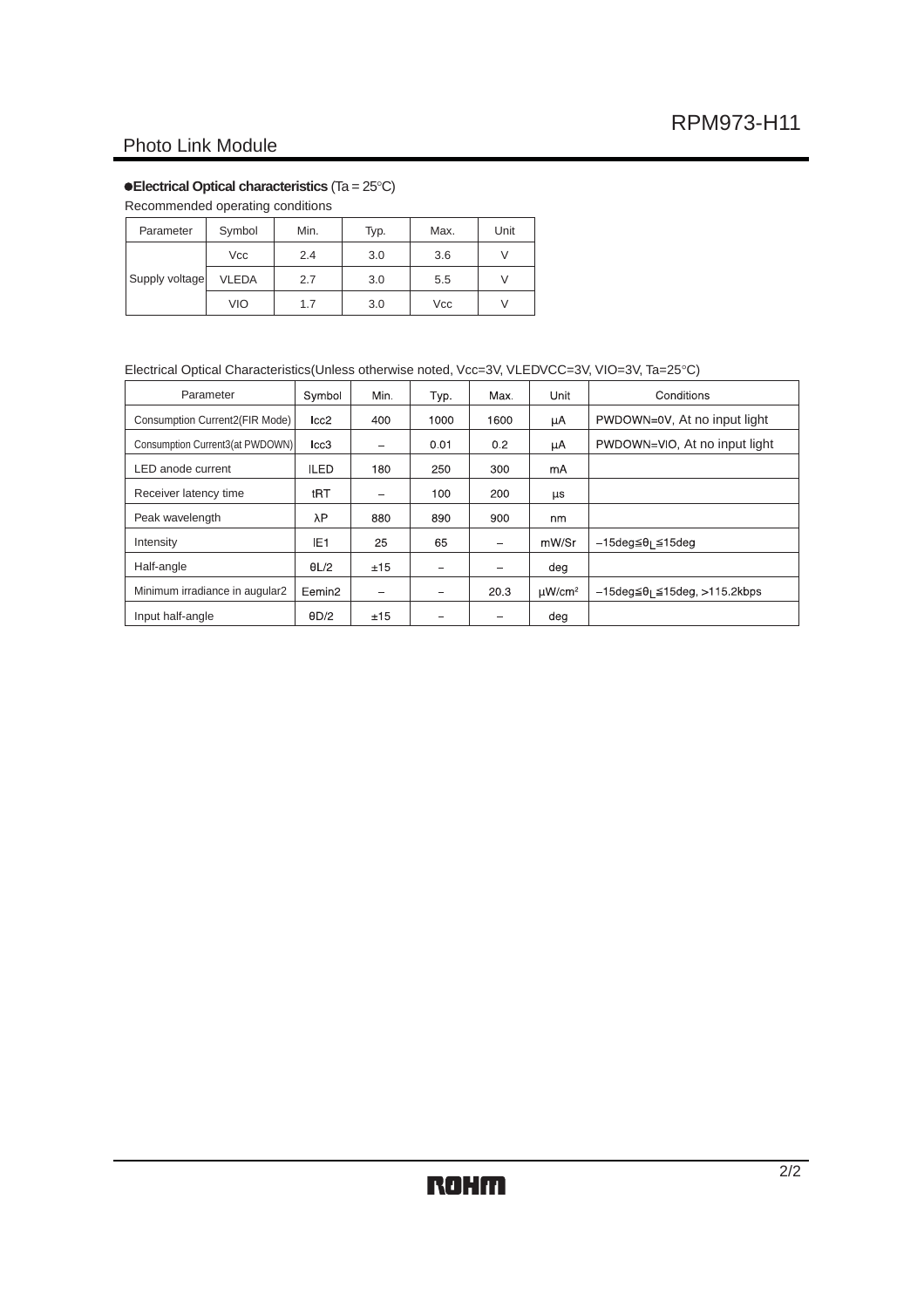### Photo Link Module

#### **• Electrical Optical characteristics** (Ta = 25°C)

Recommended operating conditions

| Parameter      | Symbol       | Min. | Typ. | Max. | Unit |
|----------------|--------------|------|------|------|------|
| Supply voltage | Vcc          | 2.4  | 3.0  | 3.6  |      |
|                | <b>VLEDA</b> | 2.7  | 3.0  | 5.5  |      |
|                | <b>VIO</b>   | 1.7  | 3.0  | Vcc  |      |

#### Electrical Optical Characteristics(Unless otherwise noted, Vcc=3V, VLEDVCC=3V, VIO=3V, Ta=25°C)

| Parameter                       | Symbol             | Min. | Typ. | Max. | Unit                    | Conditions                                                    |
|---------------------------------|--------------------|------|------|------|-------------------------|---------------------------------------------------------------|
| Consumption Current2(FIR Mode)  | Icc2               | 400  | 1000 | 1600 | μA                      | PWDOWN=0V, At no input light                                  |
| Consumption Current3(at PWDOWN) | Icc3               | -    | 0.01 | 0.2  | μA                      | PWDOWN=VIO, At no input light                                 |
| LED anode current               | <b>ILED</b>        | 180  | 250  | 300  | mA                      |                                                               |
| Receiver latency time           | tRT                | -    | 100  | 200  | <b>LIS</b>              |                                                               |
| Peak wavelength                 | λΡ                 | 880  | 890  | 900  | nm                      |                                                               |
| Intensity                       | IE <sub>1</sub>    | 25   | 65   |      | mW/Sr                   | –15deq≦θı ≦15deq                                              |
| Half-angle                      | 0L/2               | ±15  |      |      | deg                     |                                                               |
| Minimum irradiance in augular2  | Eemin <sub>2</sub> | -    |      | 20.3 | $\mu$ W/cm <sup>2</sup> | $-15 \text{deg} \leq \theta_1 \leq 15 \text{deg}, >115$ 2kbps |
| Input half-angle                | $\theta$ D/2       | ±15  |      |      | deg                     |                                                               |